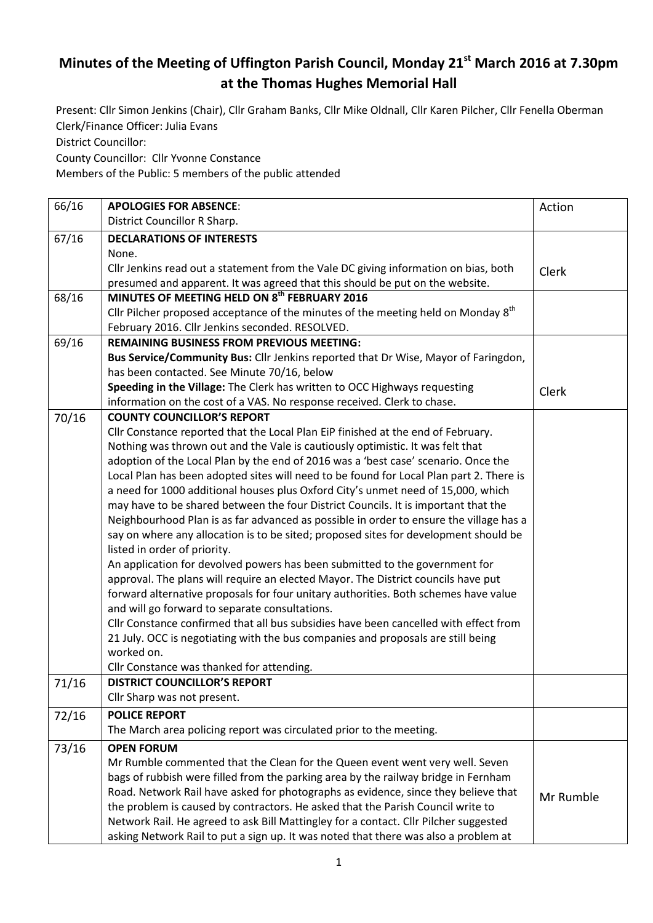## **Minutes of the Meeting of Uffington Parish Council, Monday 21st March 2016 at 7.30pm at the Thomas Hughes Memorial Hall**

Present: Cllr Simon Jenkins (Chair), Cllr Graham Banks, Cllr Mike Oldnall, Cllr Karen Pilcher, Cllr Fenella Oberman Clerk/Finance Officer: Julia Evans

District Councillor:

County Councillor: Cllr Yvonne Constance

Members of the Public: 5 members of the public attended

| 66/16 | <b>APOLOGIES FOR ABSENCE:</b>                                                                 | Action    |
|-------|-----------------------------------------------------------------------------------------------|-----------|
|       | District Councillor R Sharp.                                                                  |           |
| 67/16 | <b>DECLARATIONS OF INTERESTS</b>                                                              |           |
|       | None.                                                                                         |           |
|       | Cllr Jenkins read out a statement from the Vale DC giving information on bias, both           | Clerk     |
|       | presumed and apparent. It was agreed that this should be put on the website.                  |           |
| 68/16 | MINUTES OF MEETING HELD ON 8 <sup>th</sup> FEBRUARY 2016                                      |           |
|       | Cllr Pilcher proposed acceptance of the minutes of the meeting held on Monday 8 <sup>th</sup> |           |
|       | February 2016. Cllr Jenkins seconded. RESOLVED.                                               |           |
| 69/16 | <b>REMAINING BUSINESS FROM PREVIOUS MEETING:</b>                                              |           |
|       | Bus Service/Community Bus: Cllr Jenkins reported that Dr Wise, Mayor of Faringdon,            |           |
|       | has been contacted. See Minute 70/16, below                                                   |           |
|       | Speeding in the Village: The Clerk has written to OCC Highways requesting                     | Clerk     |
|       | information on the cost of a VAS. No response received. Clerk to chase.                       |           |
| 70/16 | <b>COUNTY COUNCILLOR'S REPORT</b>                                                             |           |
|       | Cllr Constance reported that the Local Plan EiP finished at the end of February.              |           |
|       | Nothing was thrown out and the Vale is cautiously optimistic. It was felt that                |           |
|       | adoption of the Local Plan by the end of 2016 was a 'best case' scenario. Once the            |           |
|       | Local Plan has been adopted sites will need to be found for Local Plan part 2. There is       |           |
|       | a need for 1000 additional houses plus Oxford City's unmet need of 15,000, which              |           |
|       | may have to be shared between the four District Councils. It is important that the            |           |
|       | Neighbourhood Plan is as far advanced as possible in order to ensure the village has a        |           |
|       | say on where any allocation is to be sited; proposed sites for development should be          |           |
|       | listed in order of priority.                                                                  |           |
|       | An application for devolved powers has been submitted to the government for                   |           |
|       | approval. The plans will require an elected Mayor. The District councils have put             |           |
|       | forward alternative proposals for four unitary authorities. Both schemes have value           |           |
|       | and will go forward to separate consultations.                                                |           |
|       | Cllr Constance confirmed that all bus subsidies have been cancelled with effect from          |           |
|       | 21 July. OCC is negotiating with the bus companies and proposals are still being              |           |
|       | worked on.                                                                                    |           |
|       | Cllr Constance was thanked for attending.                                                     |           |
| 71/16 | <b>DISTRICT COUNCILLOR'S REPORT</b>                                                           |           |
|       | Cllr Sharp was not present.                                                                   |           |
| 72/16 | <b>POLICE REPORT</b>                                                                          |           |
|       | The March area policing report was circulated prior to the meeting.                           |           |
| 73/16 | <b>OPEN FORUM</b>                                                                             |           |
|       | Mr Rumble commented that the Clean for the Queen event went very well. Seven                  |           |
|       | bags of rubbish were filled from the parking area by the railway bridge in Fernham            |           |
|       | Road. Network Rail have asked for photographs as evidence, since they believe that            | Mr Rumble |
|       | the problem is caused by contractors. He asked that the Parish Council write to               |           |
|       | Network Rail. He agreed to ask Bill Mattingley for a contact. Cllr Pilcher suggested          |           |
|       | asking Network Rail to put a sign up. It was noted that there was also a problem at           |           |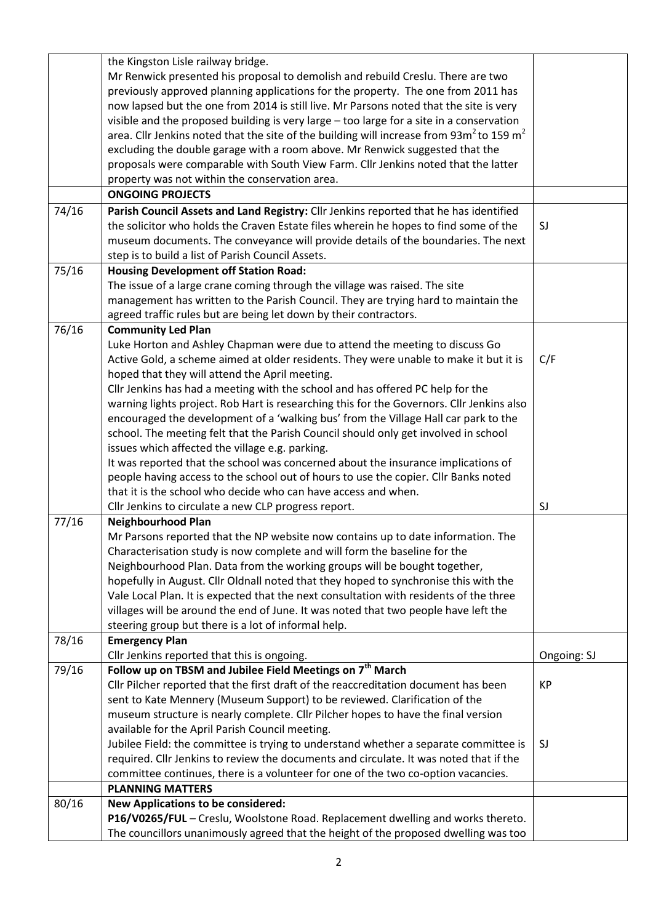|       | the Kingston Lisle railway bridge.                                                                                                         |             |
|-------|--------------------------------------------------------------------------------------------------------------------------------------------|-------------|
|       | Mr Renwick presented his proposal to demolish and rebuild Creslu. There are two                                                            |             |
|       | previously approved planning applications for the property. The one from 2011 has                                                          |             |
|       | now lapsed but the one from 2014 is still live. Mr Parsons noted that the site is very                                                     |             |
|       | visible and the proposed building is very large - too large for a site in a conservation                                                   |             |
|       | area. Cllr Jenkins noted that the site of the building will increase from $93m^2$ to 159 m <sup>2</sup>                                    |             |
|       | excluding the double garage with a room above. Mr Renwick suggested that the                                                               |             |
|       | proposals were comparable with South View Farm. Cllr Jenkins noted that the latter                                                         |             |
|       | property was not within the conservation area.                                                                                             |             |
|       | <b>ONGOING PROJECTS</b>                                                                                                                    |             |
| 74/16 | Parish Council Assets and Land Registry: Cllr Jenkins reported that he has identified                                                      |             |
|       | the solicitor who holds the Craven Estate files wherein he hopes to find some of the                                                       | SJ          |
|       | museum documents. The conveyance will provide details of the boundaries. The next                                                          |             |
|       | step is to build a list of Parish Council Assets.                                                                                          |             |
| 75/16 | <b>Housing Development off Station Road:</b>                                                                                               |             |
|       | The issue of a large crane coming through the village was raised. The site                                                                 |             |
|       | management has written to the Parish Council. They are trying hard to maintain the                                                         |             |
|       | agreed traffic rules but are being let down by their contractors.                                                                          |             |
| 76/16 | <b>Community Led Plan</b>                                                                                                                  |             |
|       | Luke Horton and Ashley Chapman were due to attend the meeting to discuss Go                                                                |             |
|       | Active Gold, a scheme aimed at older residents. They were unable to make it but it is                                                      | C/F         |
|       | hoped that they will attend the April meeting.                                                                                             |             |
|       | Cllr Jenkins has had a meeting with the school and has offered PC help for the                                                             |             |
|       | warning lights project. Rob Hart is researching this for the Governors. Cllr Jenkins also                                                  |             |
|       | encouraged the development of a 'walking bus' from the Village Hall car park to the                                                        |             |
|       | school. The meeting felt that the Parish Council should only get involved in school                                                        |             |
|       | issues which affected the village e.g. parking.                                                                                            |             |
|       | It was reported that the school was concerned about the insurance implications of                                                          |             |
|       | people having access to the school out of hours to use the copier. Cllr Banks noted                                                        |             |
|       | that it is the school who decide who can have access and when.                                                                             |             |
|       | Cllr Jenkins to circulate a new CLP progress report.                                                                                       | SJ          |
| 77/16 | <b>Neighbourhood Plan</b>                                                                                                                  |             |
|       | Mr Parsons reported that the NP website now contains up to date information. The                                                           |             |
|       | Characterisation study is now complete and will form the baseline for the                                                                  |             |
|       | Neighbourhood Plan. Data from the working groups will be bought together,                                                                  |             |
|       | hopefully in August. Cllr Oldnall noted that they hoped to synchronise this with the                                                       |             |
|       | Vale Local Plan. It is expected that the next consultation with residents of the three                                                     |             |
|       | villages will be around the end of June. It was noted that two people have left the<br>steering group but there is a lot of informal help. |             |
| 78/16 | <b>Emergency Plan</b>                                                                                                                      |             |
|       | Cllr Jenkins reported that this is ongoing.                                                                                                | Ongoing: SJ |
| 79/16 | Follow up on TBSM and Jubilee Field Meetings on 7 <sup>th</sup> March                                                                      |             |
|       | Cllr Pilcher reported that the first draft of the reaccreditation document has been                                                        | <b>KP</b>   |
|       | sent to Kate Mennery (Museum Support) to be reviewed. Clarification of the                                                                 |             |
|       | museum structure is nearly complete. Cllr Pilcher hopes to have the final version                                                          |             |
|       | available for the April Parish Council meeting.                                                                                            |             |
|       | Jubilee Field: the committee is trying to understand whether a separate committee is                                                       | SJ          |
|       | required. Cllr Jenkins to review the documents and circulate. It was noted that if the                                                     |             |
|       | committee continues, there is a volunteer for one of the two co-option vacancies.                                                          |             |
|       | <b>PLANNING MATTERS</b>                                                                                                                    |             |
| 80/16 | <b>New Applications to be considered:</b>                                                                                                  |             |
|       | P16/V0265/FUL - Creslu, Woolstone Road. Replacement dwelling and works thereto.                                                            |             |
|       | The councillors unanimously agreed that the height of the proposed dwelling was too                                                        |             |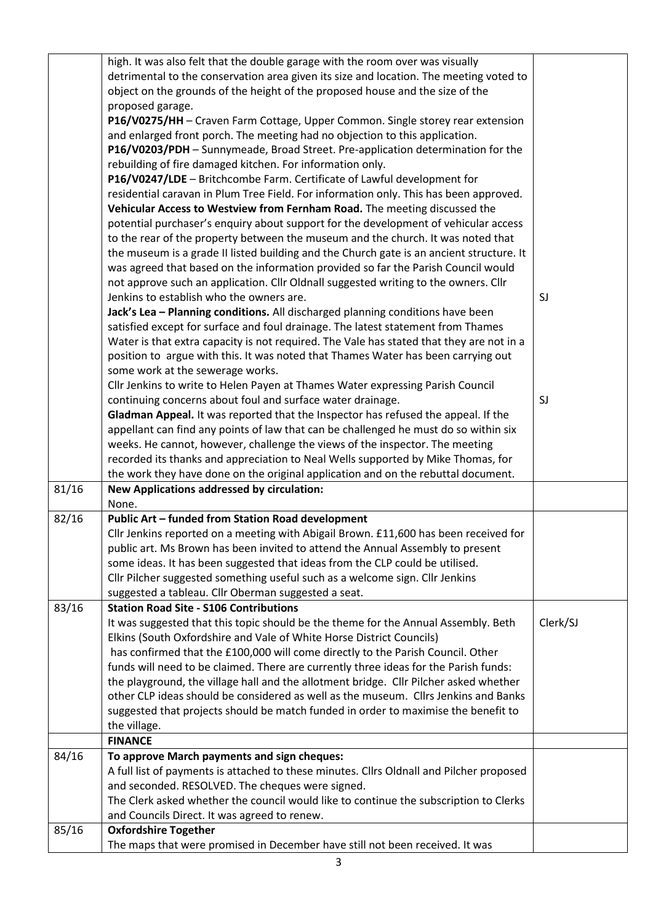|       | high. It was also felt that the double garage with the room over was visually<br>detrimental to the conservation area given its size and location. The meeting voted to<br>object on the grounds of the height of the proposed house and the size of the<br>proposed garage.<br>P16/V0275/HH - Craven Farm Cottage, Upper Common. Single storey rear extension<br>and enlarged front porch. The meeting had no objection to this application.<br>P16/V0203/PDH - Sunnymeade, Broad Street. Pre-application determination for the |          |
|-------|----------------------------------------------------------------------------------------------------------------------------------------------------------------------------------------------------------------------------------------------------------------------------------------------------------------------------------------------------------------------------------------------------------------------------------------------------------------------------------------------------------------------------------|----------|
|       | rebuilding of fire damaged kitchen. For information only.                                                                                                                                                                                                                                                                                                                                                                                                                                                                        |          |
|       | P16/V0247/LDE - Britchcombe Farm. Certificate of Lawful development for                                                                                                                                                                                                                                                                                                                                                                                                                                                          |          |
|       | residential caravan in Plum Tree Field. For information only. This has been approved.<br>Vehicular Access to Westview from Fernham Road. The meeting discussed the<br>potential purchaser's enquiry about support for the development of vehicular access                                                                                                                                                                                                                                                                        |          |
|       | to the rear of the property between the museum and the church. It was noted that                                                                                                                                                                                                                                                                                                                                                                                                                                                 |          |
|       | the museum is a grade II listed building and the Church gate is an ancient structure. It                                                                                                                                                                                                                                                                                                                                                                                                                                         |          |
|       | was agreed that based on the information provided so far the Parish Council would                                                                                                                                                                                                                                                                                                                                                                                                                                                |          |
|       | not approve such an application. Cllr Oldnall suggested writing to the owners. Cllr                                                                                                                                                                                                                                                                                                                                                                                                                                              |          |
|       | Jenkins to establish who the owners are.                                                                                                                                                                                                                                                                                                                                                                                                                                                                                         | SJ       |
|       | Jack's Lea - Planning conditions. All discharged planning conditions have been                                                                                                                                                                                                                                                                                                                                                                                                                                                   |          |
|       | satisfied except for surface and foul drainage. The latest statement from Thames                                                                                                                                                                                                                                                                                                                                                                                                                                                 |          |
|       | Water is that extra capacity is not required. The Vale has stated that they are not in a                                                                                                                                                                                                                                                                                                                                                                                                                                         |          |
|       | position to argue with this. It was noted that Thames Water has been carrying out<br>some work at the sewerage works.                                                                                                                                                                                                                                                                                                                                                                                                            |          |
|       | Cllr Jenkins to write to Helen Payen at Thames Water expressing Parish Council                                                                                                                                                                                                                                                                                                                                                                                                                                                   |          |
|       | continuing concerns about foul and surface water drainage.                                                                                                                                                                                                                                                                                                                                                                                                                                                                       | SJ       |
|       | Gladman Appeal. It was reported that the Inspector has refused the appeal. If the                                                                                                                                                                                                                                                                                                                                                                                                                                                |          |
|       | appellant can find any points of law that can be challenged he must do so within six                                                                                                                                                                                                                                                                                                                                                                                                                                             |          |
|       | weeks. He cannot, however, challenge the views of the inspector. The meeting                                                                                                                                                                                                                                                                                                                                                                                                                                                     |          |
|       | recorded its thanks and appreciation to Neal Wells supported by Mike Thomas, for                                                                                                                                                                                                                                                                                                                                                                                                                                                 |          |
|       | the work they have done on the original application and on the rebuttal document.                                                                                                                                                                                                                                                                                                                                                                                                                                                |          |
| 81/16 | <b>New Applications addressed by circulation:</b>                                                                                                                                                                                                                                                                                                                                                                                                                                                                                |          |
|       | None.                                                                                                                                                                                                                                                                                                                                                                                                                                                                                                                            |          |
| 82/16 | Public Art - funded from Station Road development                                                                                                                                                                                                                                                                                                                                                                                                                                                                                |          |
|       | Cllr Jenkins reported on a meeting with Abigail Brown. £11,600 has been received for                                                                                                                                                                                                                                                                                                                                                                                                                                             |          |
|       | public art. Ms Brown has been invited to attend the Annual Assembly to present                                                                                                                                                                                                                                                                                                                                                                                                                                                   |          |
|       | some ideas. It has been suggested that ideas from the CLP could be utilised.                                                                                                                                                                                                                                                                                                                                                                                                                                                     |          |
|       | Cllr Pilcher suggested something useful such as a welcome sign. Cllr Jenkins                                                                                                                                                                                                                                                                                                                                                                                                                                                     |          |
|       | suggested a tableau. Cllr Oberman suggested a seat.                                                                                                                                                                                                                                                                                                                                                                                                                                                                              |          |
| 83/16 | <b>Station Road Site - S106 Contributions</b>                                                                                                                                                                                                                                                                                                                                                                                                                                                                                    |          |
|       | It was suggested that this topic should be the theme for the Annual Assembly. Beth<br>Elkins (South Oxfordshire and Vale of White Horse District Councils)                                                                                                                                                                                                                                                                                                                                                                       | Clerk/SJ |
|       | has confirmed that the £100,000 will come directly to the Parish Council. Other                                                                                                                                                                                                                                                                                                                                                                                                                                                  |          |
|       | funds will need to be claimed. There are currently three ideas for the Parish funds:                                                                                                                                                                                                                                                                                                                                                                                                                                             |          |
|       | the playground, the village hall and the allotment bridge. Cllr Pilcher asked whether                                                                                                                                                                                                                                                                                                                                                                                                                                            |          |
|       | other CLP ideas should be considered as well as the museum. Cllrs Jenkins and Banks                                                                                                                                                                                                                                                                                                                                                                                                                                              |          |
|       | suggested that projects should be match funded in order to maximise the benefit to                                                                                                                                                                                                                                                                                                                                                                                                                                               |          |
|       | the village.                                                                                                                                                                                                                                                                                                                                                                                                                                                                                                                     |          |
|       | <b>FINANCE</b>                                                                                                                                                                                                                                                                                                                                                                                                                                                                                                                   |          |
| 84/16 | To approve March payments and sign cheques:                                                                                                                                                                                                                                                                                                                                                                                                                                                                                      |          |
|       | A full list of payments is attached to these minutes. Cllrs Oldnall and Pilcher proposed                                                                                                                                                                                                                                                                                                                                                                                                                                         |          |
|       | and seconded. RESOLVED. The cheques were signed.                                                                                                                                                                                                                                                                                                                                                                                                                                                                                 |          |
|       | The Clerk asked whether the council would like to continue the subscription to Clerks                                                                                                                                                                                                                                                                                                                                                                                                                                            |          |
|       | and Councils Direct. It was agreed to renew.                                                                                                                                                                                                                                                                                                                                                                                                                                                                                     |          |
| 85/16 | <b>Oxfordshire Together</b>                                                                                                                                                                                                                                                                                                                                                                                                                                                                                                      |          |
|       | The maps that were promised in December have still not been received. It was                                                                                                                                                                                                                                                                                                                                                                                                                                                     |          |